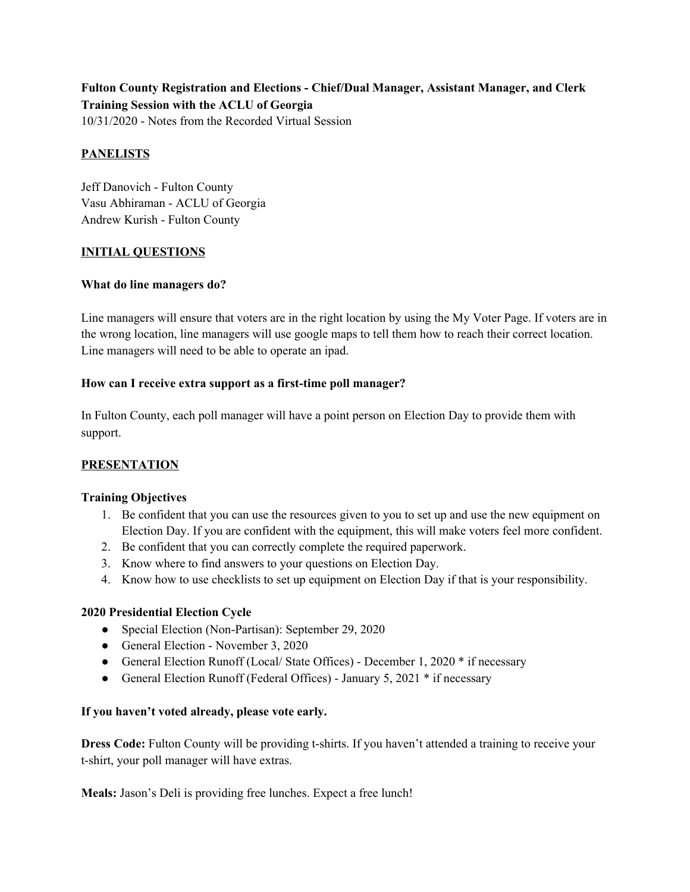**Fulton County Registration and Elections - Chief/Dual Manager, Assistant Manager, and Clerk Training Session with the ACLU of Georgia** 10/31/2020 - Notes from the Recorded Virtual Session

## **PANELISTS**

Jeff Danovich - Fulton County Vasu Abhiraman - ACLU of Georgia Andrew Kurish - Fulton County

### **INITIAL QUESTIONS**

### **What do line managers do?**

Line managers will ensure that voters are in the right location by using the My Voter Page. If voters are in the wrong location, line managers will use google maps to tell them how to reach their correct location. Line managers will need to be able to operate an ipad.

### **How can I receive extra support as a first-time poll manager?**

In Fulton County, each poll manager will have a point person on Election Day to provide them with support.

### **PRESENTATION**

### **Training Objectives**

- 1. Be confident that you can use the resources given to you to set up and use the new equipment on Election Day. If you are confident with the equipment, this will make voters feel more confident.
- 2. Be confident that you can correctly complete the required paperwork.
- 3. Know where to find answers to your questions on Election Day.
- 4. Know how to use checklists to set up equipment on Election Day if that is your responsibility.

### **2020 Presidential Election Cycle**

- Special Election (Non-Partisan): September 29, 2020
- General Election November 3, 2020
- General Election Runoff (Local/ State Offices) December 1, 2020 \* if necessary
- General Election Runoff (Federal Offices) January 5, 2021 \* if necessary

### **If you haven't voted already, please vote early.**

**Dress Code:** Fulton County will be providing t-shirts. If you haven't attended a training to receive your t-shirt, your poll manager will have extras.

**Meals:** Jason's Deli is providing free lunches. Expect a free lunch!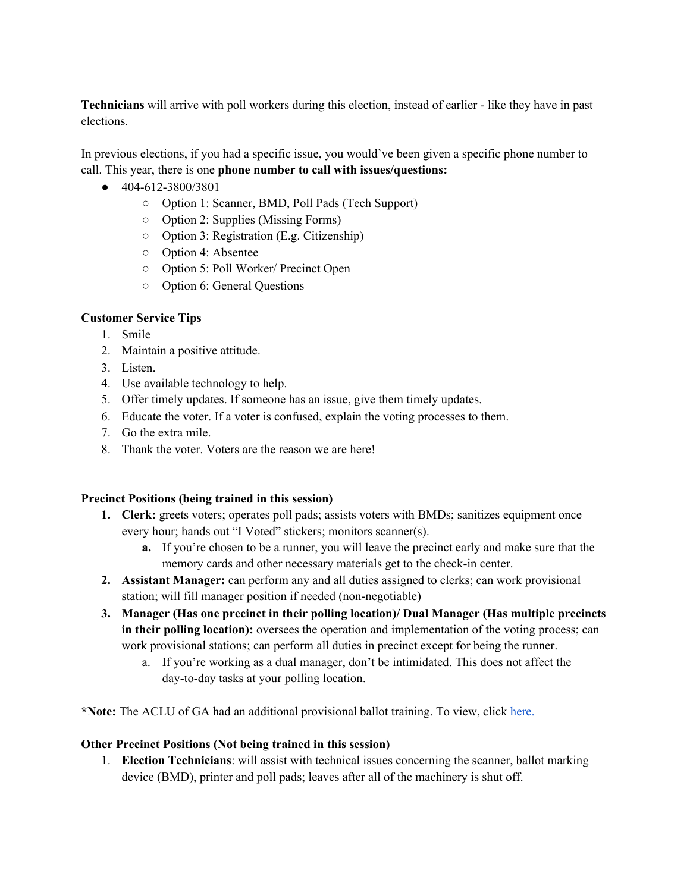**Technicians** will arrive with poll workers during this election, instead of earlier - like they have in past elections.

In previous elections, if you had a specific issue, you would've been given a specific phone number to call. This year, there is one **phone number to call with issues/questions:**

- 404-612-3800/3801
	- Option 1: Scanner, BMD, Poll Pads (Tech Support)
	- Option 2: Supplies (Missing Forms)
	- Option 3: Registration (E.g. Citizenship)
	- Option 4: Absentee
	- Option 5: Poll Worker/ Precinct Open
	- Option 6: General Questions

### **Customer Service Tips**

- 1. Smile
- 2. Maintain a positive attitude.
- 3. Listen.
- 4. Use available technology to help.
- 5. Offer timely updates. If someone has an issue, give them timely updates.
- 6. Educate the voter. If a voter is confused, explain the voting processes to them.
- 7. Go the extra mile.
- 8. Thank the voter. Voters are the reason we are here!

### **Precinct Positions (being trained in this session)**

- **1. Clerk:** greets voters; operates poll pads; assists voters with BMDs; sanitizes equipment once every hour; hands out "I Voted" stickers; monitors scanner(s).
	- **a.** If you're chosen to be a runner, you will leave the precinct early and make sure that the memory cards and other necessary materials get to the check-in center.
- **2. Assistant Manager:** can perform any and all duties assigned to clerks; can work provisional station; will fill manager position if needed (non-negotiable)
- **3. Manager (Has one precinct in their polling location)/ Dual Manager (Has multiple precincts in their polling location):** oversees the operation and implementation of the voting process; can work provisional stations; can perform all duties in precinct except for being the runner.
	- a. If you're working as a dual manager, don't be intimidated. This does not affect the day-to-day tasks at your polling location.

**\*Note:** The ACLU of GA had an additional provisional ballot training. To view, click [here.](https://drive.google.com/file/d/165ooBHNPdpxAq987mL0bACuj3lsd-egk/view?ts=5f8da0ad)

### **Other Precinct Positions (Not being trained in this session)**

1. **Election Technicians**: will assist with technical issues concerning the scanner, ballot marking device (BMD), printer and poll pads; leaves after all of the machinery is shut off.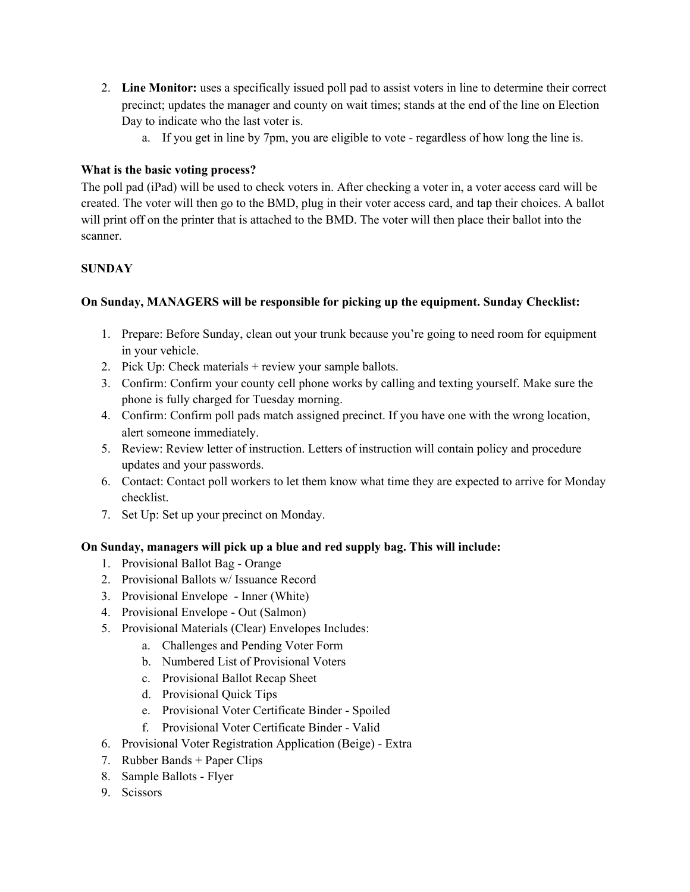- 2. **Line Monitor:** uses a specifically issued poll pad to assist voters in line to determine their correct precinct; updates the manager and county on wait times; stands at the end of the line on Election Day to indicate who the last voter is.
	- a. If you get in line by 7pm, you are eligible to vote regardless of how long the line is.

## **What is the basic voting process?**

The poll pad (iPad) will be used to check voters in. After checking a voter in, a voter access card will be created. The voter will then go to the BMD, plug in their voter access card, and tap their choices. A ballot will print off on the printer that is attached to the BMD. The voter will then place their ballot into the scanner.

# **SUNDAY**

## **On Sunday, MANAGERS will be responsible for picking up the equipment. Sunday Checklist:**

- 1. Prepare: Before Sunday, clean out your trunk because you're going to need room for equipment in your vehicle.
- 2. Pick Up: Check materials + review your sample ballots.
- 3. Confirm: Confirm your county cell phone works by calling and texting yourself. Make sure the phone is fully charged for Tuesday morning.
- 4. Confirm: Confirm poll pads match assigned precinct. If you have one with the wrong location, alert someone immediately.
- 5. Review: Review letter of instruction. Letters of instruction will contain policy and procedure updates and your passwords.
- 6. Contact: Contact poll workers to let them know what time they are expected to arrive for Monday checklist.
- 7. Set Up: Set up your precinct on Monday.

### **On Sunday, managers will pick up a blue and red supply bag. This will include:**

- 1. Provisional Ballot Bag Orange
- 2. Provisional Ballots w/ Issuance Record
- 3. Provisional Envelope Inner (White)
- 4. Provisional Envelope Out (Salmon)
- 5. Provisional Materials (Clear) Envelopes Includes:
	- a. Challenges and Pending Voter Form
	- b. Numbered List of Provisional Voters
	- c. Provisional Ballot Recap Sheet
	- d. Provisional Quick Tips
	- e. Provisional Voter Certificate Binder Spoiled
	- f. Provisional Voter Certificate Binder Valid
- 6. Provisional Voter Registration Application (Beige) Extra
- 7. Rubber Bands + Paper Clips
- 8. Sample Ballots Flyer
- 9. Scissors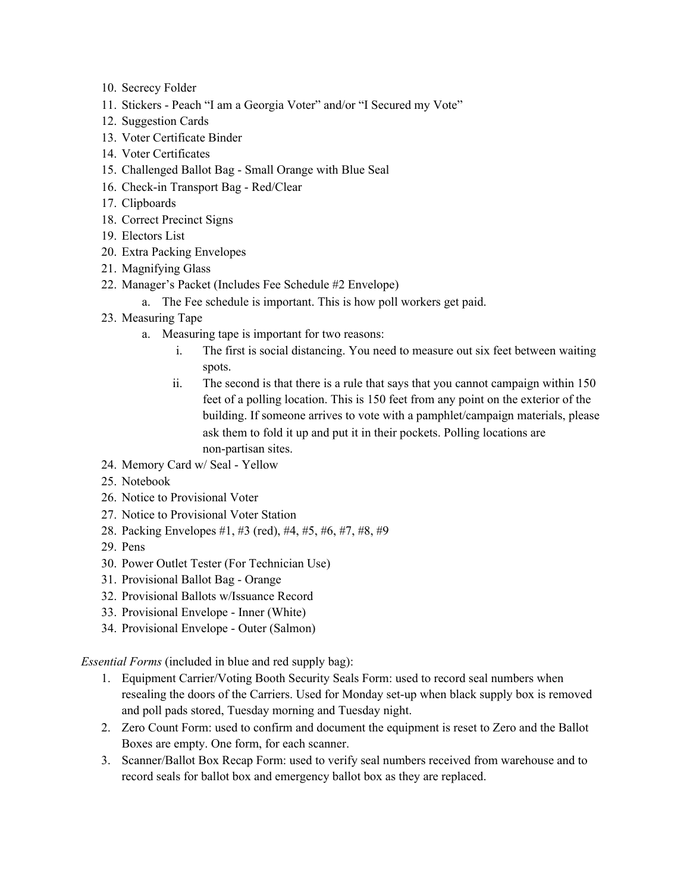- 10. Secrecy Folder
- 11. Stickers Peach "I am a Georgia Voter" and/or "I Secured my Vote"
- 12. Suggestion Cards
- 13. Voter Certificate Binder
- 14. Voter Certificates
- 15. Challenged Ballot Bag Small Orange with Blue Seal
- 16. Check-in Transport Bag Red/Clear
- 17. Clipboards
- 18. Correct Precinct Signs
- 19. Electors List
- 20. Extra Packing Envelopes
- 21. Magnifying Glass
- 22. Manager's Packet (Includes Fee Schedule #2 Envelope)
	- a. The Fee schedule is important. This is how poll workers get paid.
- 23. Measuring Tape
	- a. Measuring tape is important for two reasons:
		- i. The first is social distancing. You need to measure out six feet between waiting spots.
		- ii. The second is that there is a rule that says that you cannot campaign within 150 feet of a polling location. This is 150 feet from any point on the exterior of the building. If someone arrives to vote with a pamphlet/campaign materials, please ask them to fold it up and put it in their pockets. Polling locations are non-partisan sites.
- 24. Memory Card w/ Seal Yellow
- 25. Notebook
- 26. Notice to Provisional Voter
- 27. Notice to Provisional Voter Station
- 28. Packing Envelopes #1, #3 (red), #4, #5, #6, #7, #8, #9
- 29. Pens
- 30. Power Outlet Tester (For Technician Use)
- 31. Provisional Ballot Bag Orange
- 32. Provisional Ballots w/Issuance Record
- 33. Provisional Envelope Inner (White)
- 34. Provisional Envelope Outer (Salmon)

*Essential Forms* (included in blue and red supply bag):

- 1. Equipment Carrier/Voting Booth Security Seals Form: used to record seal numbers when resealing the doors of the Carriers. Used for Monday set-up when black supply box is removed and poll pads stored, Tuesday morning and Tuesday night.
- 2. Zero Count Form: used to confirm and document the equipment is reset to Zero and the Ballot Boxes are empty. One form, for each scanner.
- 3. Scanner/Ballot Box Recap Form: used to verify seal numbers received from warehouse and to record seals for ballot box and emergency ballot box as they are replaced.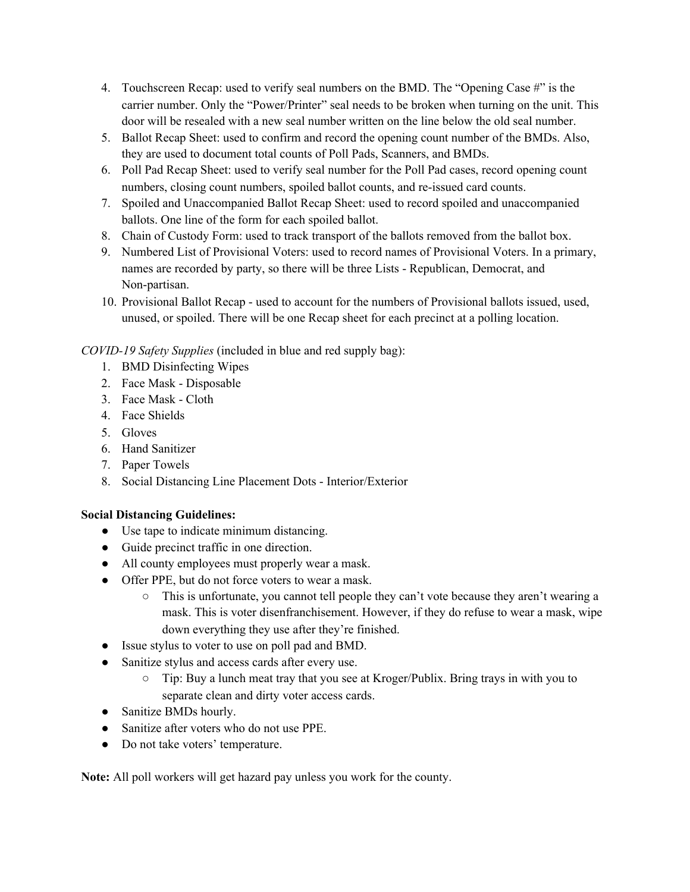- 4. Touchscreen Recap: used to verify seal numbers on the BMD. The "Opening Case #" is the carrier number. Only the "Power/Printer" seal needs to be broken when turning on the unit. This door will be resealed with a new seal number written on the line below the old seal number.
- 5. Ballot Recap Sheet: used to confirm and record the opening count number of the BMDs. Also, they are used to document total counts of Poll Pads, Scanners, and BMDs.
- 6. Poll Pad Recap Sheet: used to verify seal number for the Poll Pad cases, record opening count numbers, closing count numbers, spoiled ballot counts, and re-issued card counts.
- 7. Spoiled and Unaccompanied Ballot Recap Sheet: used to record spoiled and unaccompanied ballots. One line of the form for each spoiled ballot.
- 8. Chain of Custody Form: used to track transport of the ballots removed from the ballot box.
- 9. Numbered List of Provisional Voters: used to record names of Provisional Voters. In a primary, names are recorded by party, so there will be three Lists - Republican, Democrat, and Non-partisan.
- 10. Provisional Ballot Recap used to account for the numbers of Provisional ballots issued, used, unused, or spoiled. There will be one Recap sheet for each precinct at a polling location.

*COVID-19 Safety Supplies* (included in blue and red supply bag):

- 1. BMD Disinfecting Wipes
- 2. Face Mask Disposable
- 3. Face Mask Cloth
- 4. Face Shields
- 5. Gloves
- 6. Hand Sanitizer
- 7. Paper Towels
- 8. Social Distancing Line Placement Dots Interior/Exterior

# **Social Distancing Guidelines:**

- Use tape to indicate minimum distancing.
- Guide precinct traffic in one direction.
- All county employees must properly wear a mask.
- Offer PPE, but do not force voters to wear a mask.
	- This is unfortunate, you cannot tell people they can't vote because they aren't wearing a mask. This is voter disenfranchisement. However, if they do refuse to wear a mask, wipe down everything they use after they're finished.
- Issue stylus to voter to use on poll pad and BMD.
- Sanitize stylus and access cards after every use.
	- Tip: Buy a lunch meat tray that you see at Kroger/Publix. Bring trays in with you to separate clean and dirty voter access cards.
- Sanitize BMDs hourly.
- Sanitize after voters who do not use PPE.
- Do not take voters' temperature.

**Note:** All poll workers will get hazard pay unless you work for the county.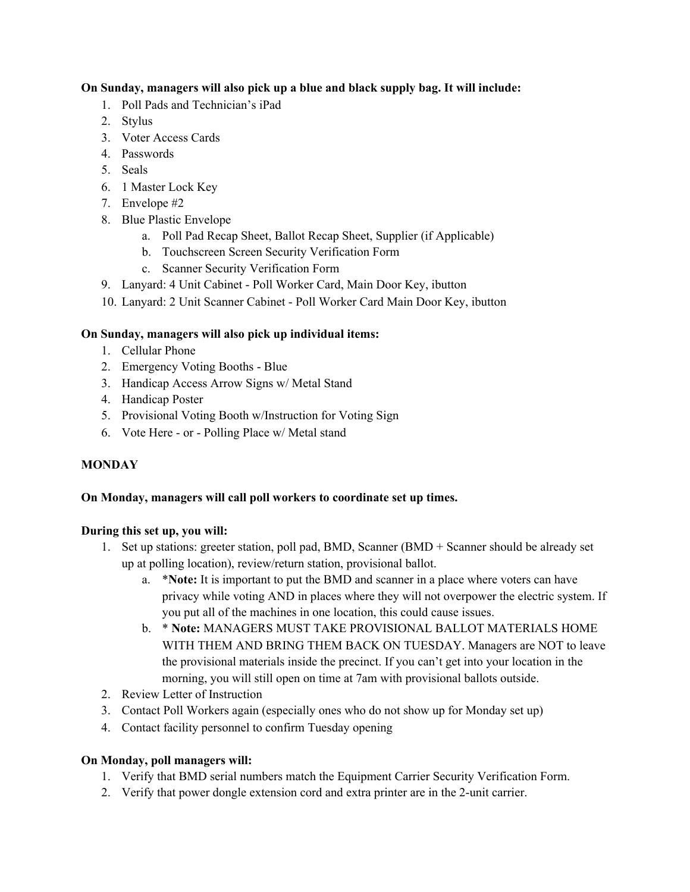## **On Sunday, managers will also pick up a blue and black supply bag. It will include:**

- 1. Poll Pads and Technician's iPad
- 2. Stylus
- 3. Voter Access Cards
- 4. Passwords
- 5. Seals
- 6. 1 Master Lock Key
- 7. Envelope #2
- 8. Blue Plastic Envelope
	- a. Poll Pad Recap Sheet, Ballot Recap Sheet, Supplier (if Applicable)
	- b. Touchscreen Screen Security Verification Form
	- c. Scanner Security Verification Form
- 9. Lanyard: 4 Unit Cabinet Poll Worker Card, Main Door Key, ibutton
- 10. Lanyard: 2 Unit Scanner Cabinet Poll Worker Card Main Door Key, ibutton

# **On Sunday, managers will also pick up individual items:**

- 1. Cellular Phone
- 2. Emergency Voting Booths Blue
- 3. Handicap Access Arrow Signs w/ Metal Stand
- 4. Handicap Poster
- 5. Provisional Voting Booth w/Instruction for Voting Sign
- 6. Vote Here or Polling Place w/ Metal stand

# **MONDAY**

# **On Monday, managers will call poll workers to coordinate set up times.**

### **During this set up, you will:**

- 1. Set up stations: greeter station, poll pad, BMD, Scanner (BMD + Scanner should be already set up at polling location), review/return station, provisional ballot.
	- a. \***Note:** It is important to put the BMD and scanner in a place where voters can have privacy while voting AND in places where they will not overpower the electric system. If you put all of the machines in one location, this could cause issues.
	- b. \* **Note:** MANAGERS MUST TAKE PROVISIONAL BALLOT MATERIALS HOME WITH THEM AND BRING THEM BACK ON TUESDAY. Managers are NOT to leave the provisional materials inside the precinct. If you can't get into your location in the morning, you will still open on time at 7am with provisional ballots outside.
- 2. Review Letter of Instruction
- 3. Contact Poll Workers again (especially ones who do not show up for Monday set up)
- 4. Contact facility personnel to confirm Tuesday opening

# **On Monday, poll managers will:**

- 1. Verify that BMD serial numbers match the Equipment Carrier Security Verification Form.
- 2. Verify that power dongle extension cord and extra printer are in the 2-unit carrier.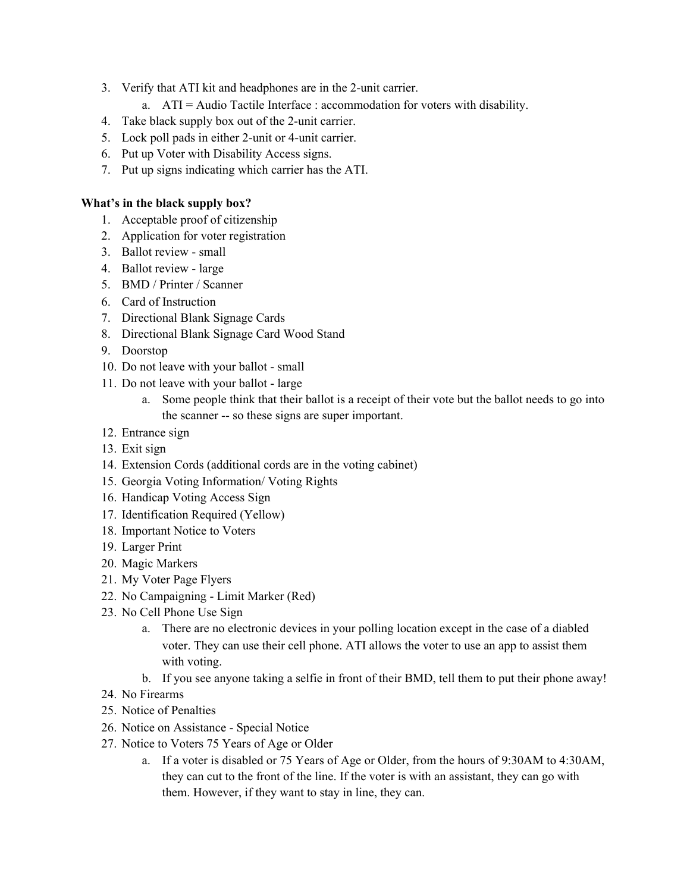- 3. Verify that ATI kit and headphones are in the 2-unit carrier.
	- a. ATI = Audio Tactile Interface : accommodation for voters with disability.
- 4. Take black supply box out of the 2-unit carrier.
- 5. Lock poll pads in either 2-unit or 4-unit carrier.
- 6. Put up Voter with Disability Access signs.
- 7. Put up signs indicating which carrier has the ATI.

#### **What's in the black supply box?**

- 1. Acceptable proof of citizenship
- 2. Application for voter registration
- 3. Ballot review small
- 4. Ballot review large
- 5. BMD / Printer / Scanner
- 6. Card of Instruction
- 7. Directional Blank Signage Cards
- 8. Directional Blank Signage Card Wood Stand
- 9. Doorstop
- 10. Do not leave with your ballot small
- 11. Do not leave with your ballot large
	- a. Some people think that their ballot is a receipt of their vote but the ballot needs to go into the scanner -- so these signs are super important.
- 12. Entrance sign
- 13. Exit sign
- 14. Extension Cords (additional cords are in the voting cabinet)
- 15. Georgia Voting Information/ Voting Rights
- 16. Handicap Voting Access Sign
- 17. Identification Required (Yellow)
- 18. Important Notice to Voters
- 19. Larger Print
- 20. Magic Markers
- 21. My Voter Page Flyers
- 22. No Campaigning Limit Marker (Red)
- 23. No Cell Phone Use Sign
	- a. There are no electronic devices in your polling location except in the case of a diabled voter. They can use their cell phone. ATI allows the voter to use an app to assist them with voting.
	- b. If you see anyone taking a selfie in front of their BMD, tell them to put their phone away!
- 24. No Firearms
- 25. Notice of Penalties
- 26. Notice on Assistance Special Notice
- 27. Notice to Voters 75 Years of Age or Older
	- a. If a voter is disabled or 75 Years of Age or Older, from the hours of 9:30AM to 4:30AM, they can cut to the front of the line. If the voter is with an assistant, they can go with them. However, if they want to stay in line, they can.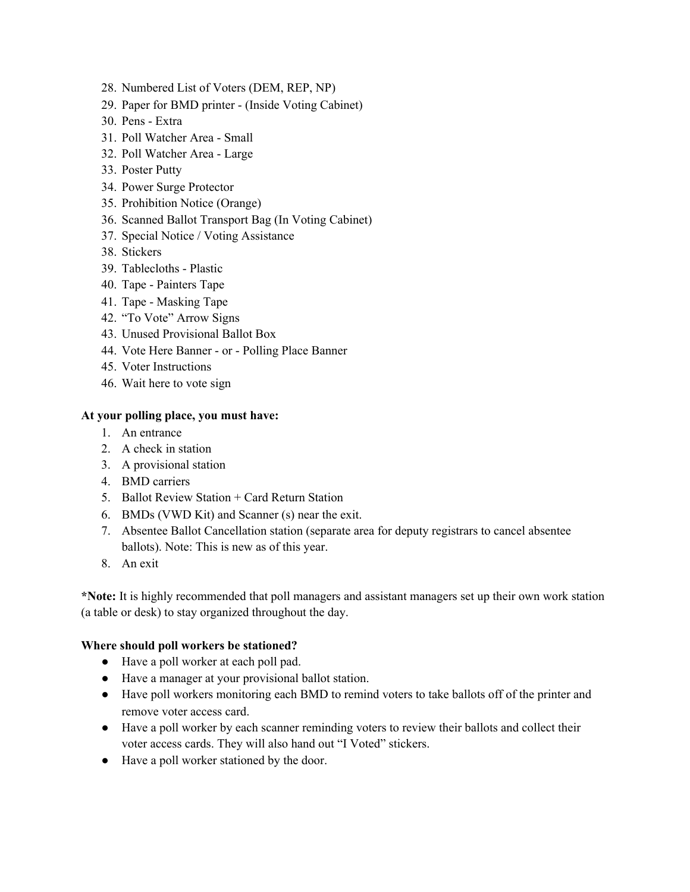- 28. Numbered List of Voters (DEM, REP, NP)
- 29. Paper for BMD printer (Inside Voting Cabinet)
- 30. Pens Extra
- 31. Poll Watcher Area Small
- 32. Poll Watcher Area Large
- 33. Poster Putty
- 34. Power Surge Protector
- 35. Prohibition Notice (Orange)
- 36. Scanned Ballot Transport Bag (In Voting Cabinet)
- 37. Special Notice / Voting Assistance
- 38. Stickers
- 39. Tablecloths Plastic
- 40. Tape Painters Tape
- 41. Tape Masking Tape
- 42. "To Vote" Arrow Signs
- 43. Unused Provisional Ballot Box
- 44. Vote Here Banner or Polling Place Banner
- 45. Voter Instructions
- 46. Wait here to vote sign

#### **At your polling place, you must have:**

- 1. An entrance
- 2. A check in station
- 3. A provisional station
- 4. BMD carriers
- 5. Ballot Review Station + Card Return Station
- 6. BMDs (VWD Kit) and Scanner (s) near the exit.
- 7. Absentee Ballot Cancellation station (separate area for deputy registrars to cancel absentee ballots). Note: This is new as of this year.
- 8. An exit

**\*Note:** It is highly recommended that poll managers and assistant managers set up their own work station (a table or desk) to stay organized throughout the day.

#### **Where should poll workers be stationed?**

- Have a poll worker at each poll pad.
- Have a manager at your provisional ballot station.
- Have poll workers monitoring each BMD to remind voters to take ballots off of the printer and remove voter access card.
- Have a poll worker by each scanner reminding voters to review their ballots and collect their voter access cards. They will also hand out "I Voted" stickers.
- Have a poll worker stationed by the door.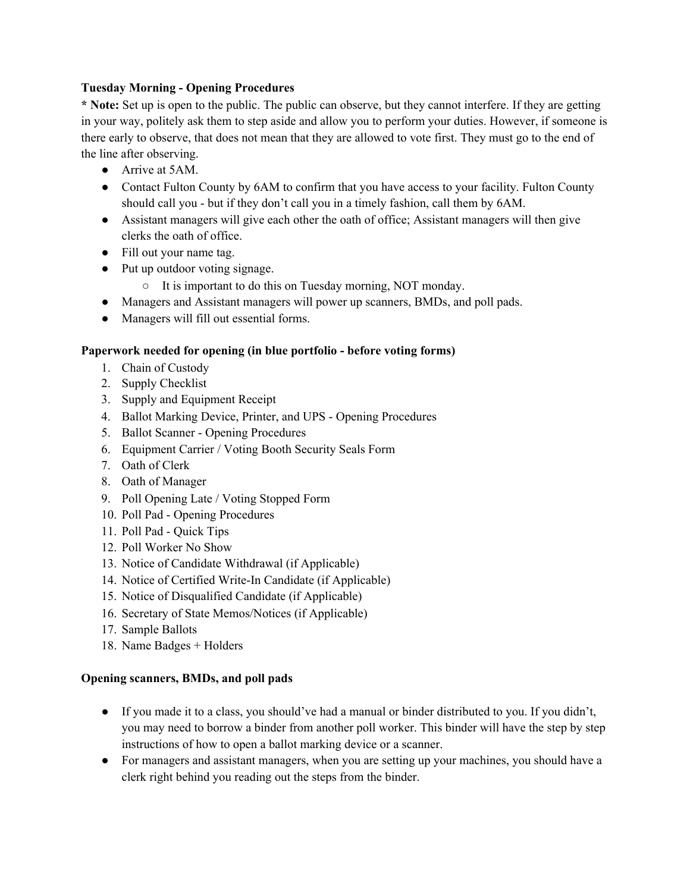### **Tuesday Morning - Opening Procedures**

**\* Note:** Set up is open to the public. The public can observe, but they cannot interfere. If they are getting in your way, politely ask them to step aside and allow you to perform your duties. However, if someone is there early to observe, that does not mean that they are allowed to vote first. They must go to the end of the line after observing.

- Arrive at 5AM.
- Contact Fulton County by 6AM to confirm that you have access to your facility. Fulton County should call you - but if they don't call you in a timely fashion, call them by 6AM.
- Assistant managers will give each other the oath of office; Assistant managers will then give clerks the oath of office.
- Fill out your name tag.
- Put up outdoor voting signage.
	- It is important to do this on Tuesday morning, NOT monday.
- Managers and Assistant managers will power up scanners, BMDs, and poll pads.
- Managers will fill out essential forms.

### **Paperwork needed for opening (in blue portfolio - before voting forms)**

- 1. Chain of Custody
- 2. Supply Checklist
- 3. Supply and Equipment Receipt
- 4. Ballot Marking Device, Printer, and UPS Opening Procedures
- 5. Ballot Scanner Opening Procedures
- 6. Equipment Carrier / Voting Booth Security Seals Form
- 7. Oath of Clerk
- 8. Oath of Manager
- 9. Poll Opening Late / Voting Stopped Form
- 10. Poll Pad Opening Procedures
- 11. Poll Pad Quick Tips
- 12. Poll Worker No Show
- 13. Notice of Candidate Withdrawal (if Applicable)
- 14. Notice of Certified Write-In Candidate (if Applicable)
- 15. Notice of Disqualified Candidate (if Applicable)
- 16. Secretary of State Memos/Notices (if Applicable)
- 17. Sample Ballots
- 18. Name Badges + Holders

### **Opening scanners, BMDs, and poll pads**

- If you made it to a class, you should've had a manual or binder distributed to you. If you didn't, you may need to borrow a binder from another poll worker. This binder will have the step by step instructions of how to open a ballot marking device or a scanner.
- For managers and assistant managers, when you are setting up your machines, you should have a clerk right behind you reading out the steps from the binder.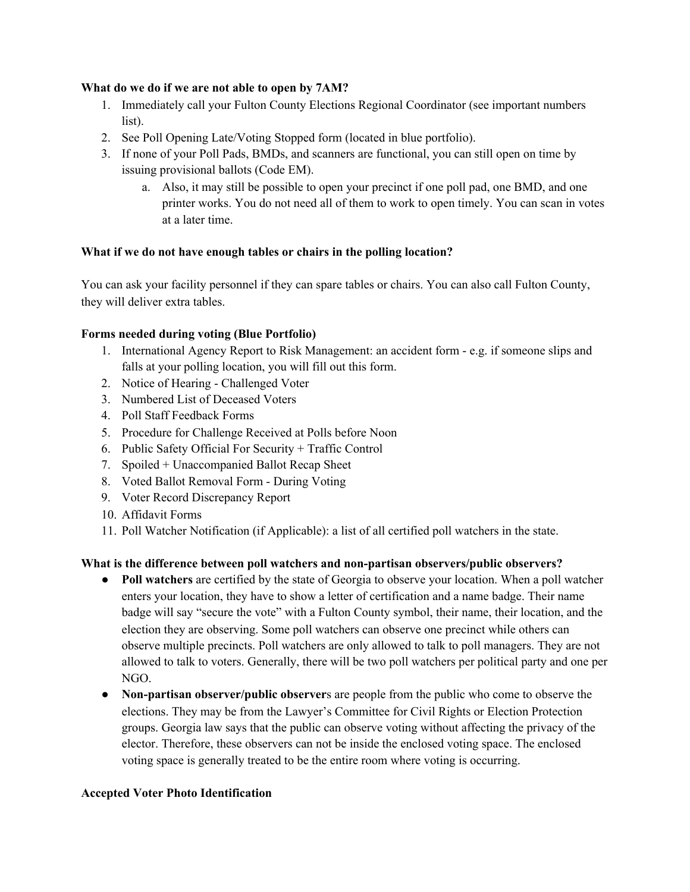#### **What do we do if we are not able to open by 7AM?**

- 1. Immediately call your Fulton County Elections Regional Coordinator (see important numbers list).
- 2. See Poll Opening Late/Voting Stopped form (located in blue portfolio).
- 3. If none of your Poll Pads, BMDs, and scanners are functional, you can still open on time by issuing provisional ballots (Code EM).
	- a. Also, it may still be possible to open your precinct if one poll pad, one BMD, and one printer works. You do not need all of them to work to open timely. You can scan in votes at a later time.

### **What if we do not have enough tables or chairs in the polling location?**

You can ask your facility personnel if they can spare tables or chairs. You can also call Fulton County, they will deliver extra tables.

### **Forms needed during voting (Blue Portfolio)**

- 1. International Agency Report to Risk Management: an accident form e.g. if someone slips and falls at your polling location, you will fill out this form.
- 2. Notice of Hearing Challenged Voter
- 3. Numbered List of Deceased Voters
- 4. Poll Staff Feedback Forms
- 5. Procedure for Challenge Received at Polls before Noon
- 6. Public Safety Official For Security + Traffic Control
- 7. Spoiled + Unaccompanied Ballot Recap Sheet
- 8. Voted Ballot Removal Form During Voting
- 9. Voter Record Discrepancy Report
- 10. Affidavit Forms
- 11. Poll Watcher Notification (if Applicable): a list of all certified poll watchers in the state.

### **What is the difference between poll watchers and non-partisan observers/public observers?**

- **Poll watchers** are certified by the state of Georgia to observe your location. When a poll watcher enters your location, they have to show a letter of certification and a name badge. Their name badge will say "secure the vote" with a Fulton County symbol, their name, their location, and the election they are observing. Some poll watchers can observe one precinct while others can observe multiple precincts. Poll watchers are only allowed to talk to poll managers. They are not allowed to talk to voters. Generally, there will be two poll watchers per political party and one per NGO.
- **Non-partisan observer/public observer**s are people from the public who come to observe the elections. They may be from the Lawyer's Committee for Civil Rights or Election Protection groups. Georgia law says that the public can observe voting without affecting the privacy of the elector. Therefore, these observers can not be inside the enclosed voting space. The enclosed voting space is generally treated to be the entire room where voting is occurring.

#### **Accepted Voter Photo Identification**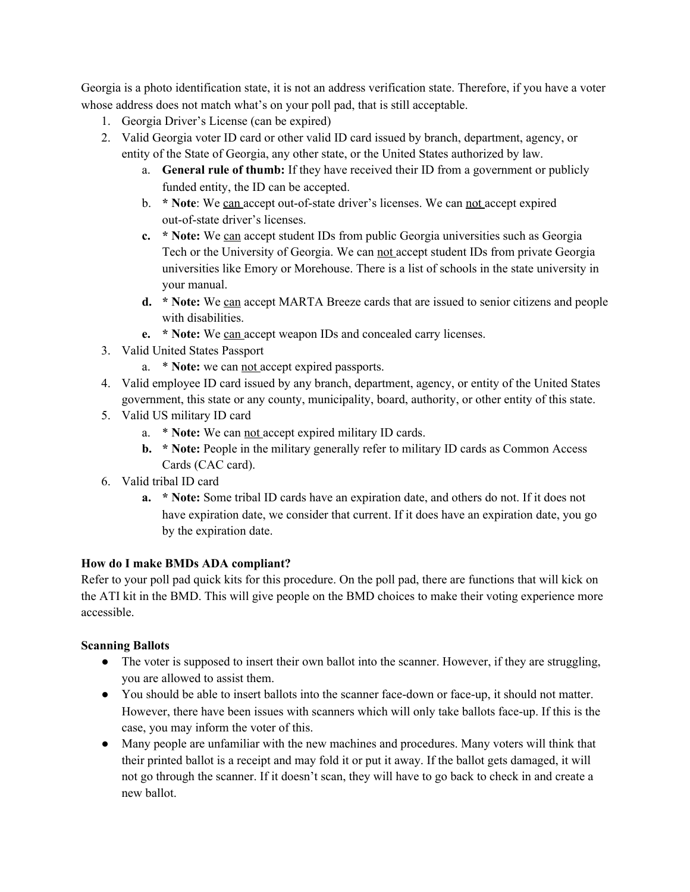Georgia is a photo identification state, it is not an address verification state. Therefore, if you have a voter whose address does not match what's on your poll pad, that is still acceptable.

- 1. Georgia Driver's License (can be expired)
- 2. Valid Georgia voter ID card or other valid ID card issued by branch, department, agency, or entity of the State of Georgia, any other state, or the United States authorized by law.
	- a. **General rule of thumb:** If they have received their ID from a government or publicly funded entity, the ID can be accepted.
	- b. **\* Note**: We can accept out-of-state driver's licenses. We can not accept expired out-of-state driver's licenses.
	- **c. \* Note:** We can accept student IDs from public Georgia universities such as Georgia Tech or the University of Georgia. We can not accept student IDs from private Georgia universities like Emory or Morehouse. There is a list of schools in the state university in your manual.
	- **d. \* Note:** We can accept MARTA Breeze cards that are issued to senior citizens and people with disabilities.
	- **e. \* Note:** We can accept weapon IDs and concealed carry licenses.
- 3. Valid United States Passport
	- a. \* **Note:** we can not accept expired passports.
- 4. Valid employee ID card issued by any branch, department, agency, or entity of the United States government, this state or any county, municipality, board, authority, or other entity of this state.
- 5. Valid US military ID card
	- a. \* **Note:** We can not accept expired military ID cards.
	- **b. \* Note:** People in the military generally refer to military ID cards as Common Access Cards (CAC card).
- 6. Valid tribal ID card
	- **a. \* Note:** Some tribal ID cards have an expiration date, and others do not. If it does not have expiration date, we consider that current. If it does have an expiration date, you go by the expiration date.

# **How do I make BMDs ADA compliant?**

Refer to your poll pad quick kits for this procedure. On the poll pad, there are functions that will kick on the ATI kit in the BMD. This will give people on the BMD choices to make their voting experience more accessible.

# **Scanning Ballots**

- The voter is supposed to insert their own ballot into the scanner. However, if they are struggling, you are allowed to assist them.
- You should be able to insert ballots into the scanner face-down or face-up, it should not matter. However, there have been issues with scanners which will only take ballots face-up. If this is the case, you may inform the voter of this.
- Many people are unfamiliar with the new machines and procedures. Many voters will think that their printed ballot is a receipt and may fold it or put it away. If the ballot gets damaged, it will not go through the scanner. If it doesn't scan, they will have to go back to check in and create a new ballot.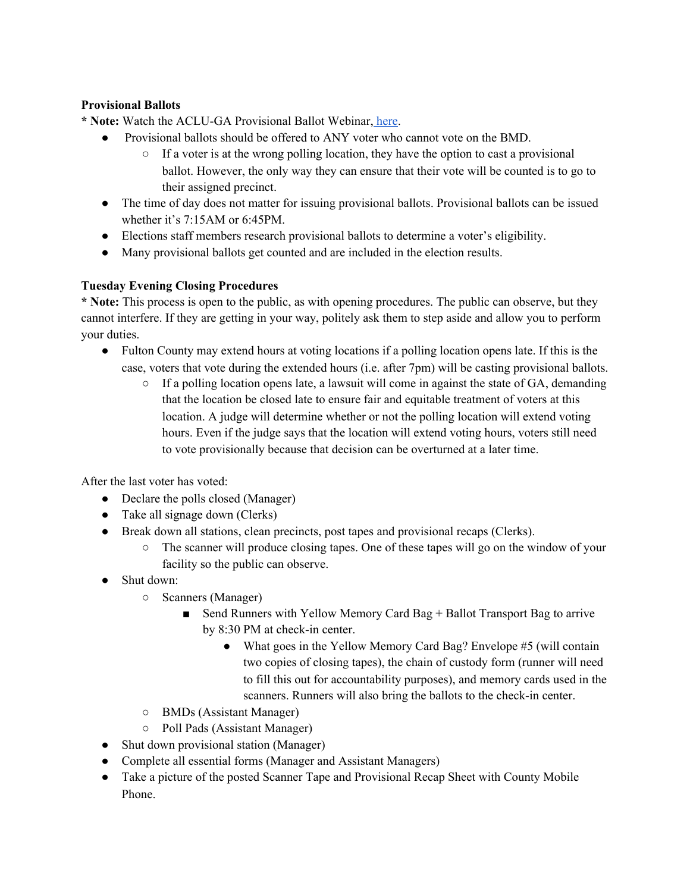## **Provisional Ballots**

**\* Note:** Watch the ACLU-GA Provisional Ballot Webinar, [here](https://drive.google.com/file/d/165ooBHNPdpxAq987mL0bACuj3lsd-egk/view?ts=5f8da0ad).

- Provisional ballots should be offered to ANY voter who cannot vote on the BMD.
	- $\circ$  If a voter is at the wrong polling location, they have the option to cast a provisional ballot. However, the only way they can ensure that their vote will be counted is to go to their assigned precinct.
- The time of day does not matter for issuing provisional ballots. Provisional ballots can be issued whether it's 7:15AM or 6:45PM.
- Elections staff members research provisional ballots to determine a voter's eligibility.
- Many provisional ballots get counted and are included in the election results.

## **Tuesday Evening Closing Procedures**

**\* Note:** This process is open to the public, as with opening procedures. The public can observe, but they cannot interfere. If they are getting in your way, politely ask them to step aside and allow you to perform your duties.

- Fulton County may extend hours at voting locations if a polling location opens late. If this is the case, voters that vote during the extended hours (i.e. after 7pm) will be casting provisional ballots.
	- If a polling location opens late, a lawsuit will come in against the state of GA, demanding that the location be closed late to ensure fair and equitable treatment of voters at this location. A judge will determine whether or not the polling location will extend voting hours. Even if the judge says that the location will extend voting hours, voters still need to vote provisionally because that decision can be overturned at a later time.

After the last voter has voted:

- Declare the polls closed (Manager)
- Take all signage down (Clerks)
- Break down all stations, clean precincts, post tapes and provisional recaps (Clerks).
	- The scanner will produce closing tapes. One of these tapes will go on the window of your facility so the public can observe.
- Shut down:
	- Scanners (Manager)
		- Send Runners with Yellow Memory Card Bag + Ballot Transport Bag to arrive by 8:30 PM at check-in center.
			- What goes in the Yellow Memory Card Bag? Envelope #5 (will contain two copies of closing tapes), the chain of custody form (runner will need to fill this out for accountability purposes), and memory cards used in the scanners. Runners will also bring the ballots to the check-in center.
	- BMDs (Assistant Manager)
	- Poll Pads (Assistant Manager)
- Shut down provisional station (Manager)
- Complete all essential forms (Manager and Assistant Managers)
- Take a picture of the posted Scanner Tape and Provisional Recap Sheet with County Mobile Phone.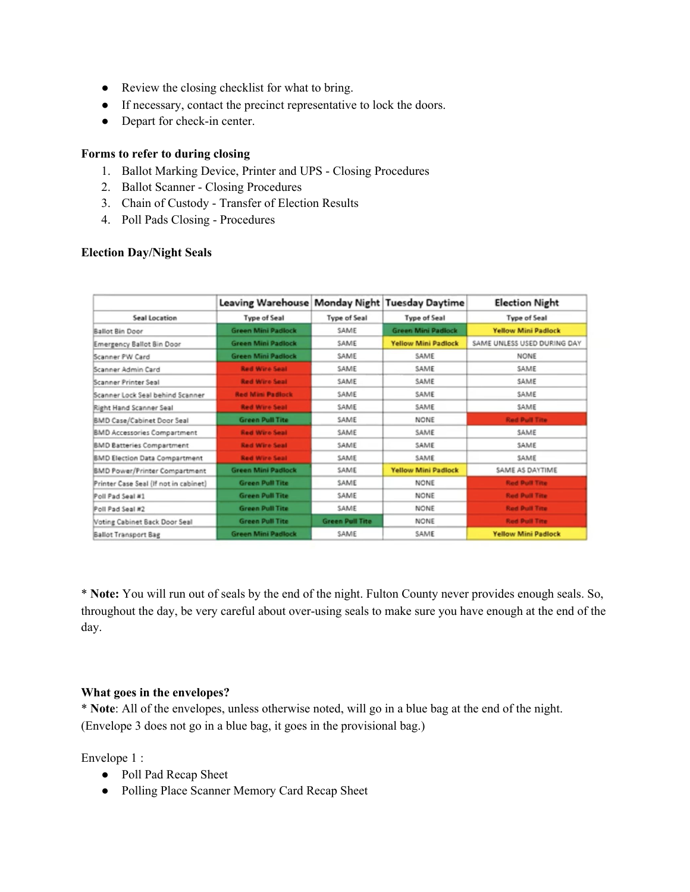- Review the closing checklist for what to bring.
- If necessary, contact the precinct representative to lock the doors.
- Depart for check-in center.

#### **Forms to refer to during closing**

- 1. Ballot Marking Device, Printer and UPS Closing Procedures
- 2. Ballot Scanner Closing Procedures
- 3. Chain of Custody Transfer of Election Results
- 4. Poll Pads Closing Procedures

#### **Election Day/Night Seals**

|                                       | Leaving Warehouse Monday Night Tuesday Daytime |                        |                            | <b>Election Night</b>       |
|---------------------------------------|------------------------------------------------|------------------------|----------------------------|-----------------------------|
| Seal Location                         | <b>Type of Seal</b>                            | <b>Type of Seal</b>    | <b>Type of Seal</b>        | <b>Type of Seal</b>         |
| Ballot Bin Door                       | <b>Green Mini Padlock</b>                      | SAME                   | <b>Green Mini Padlock</b>  | <b>Yellow Mini Padlock</b>  |
| Emergency Ballot Bin Door             | <b>Green Mini Padlock</b>                      | SAME                   | <b>Yellow Mini Padlock</b> | SAME UNLESS USED DURING DAY |
| Scanner PW Card                       | <b>Green Mini Padlock</b>                      | SAME                   | SAME                       | NONE                        |
| Scanner Admin Card                    | <b>Red Wire Seat</b>                           | SAME                   | SAME                       | SAME                        |
| Scanner Printer Seal                  | <b>Red Wire Seal</b>                           | SAME                   | SAME                       | SAME                        |
| Scanner Lock Seal behind Scanner      | <b>Red Mini Padlock</b>                        | SAME                   | SAME                       | SAME                        |
| Right Hand Scanner Seal               | <b>Red Wire Seal</b>                           | SAME                   | SAME                       | SAME                        |
| BMD Case/Cabinet Door Seal            | <b>Green Pull Tite</b>                         | SAME                   | <b>NONE</b>                | <b>Red Pull Tite</b>        |
| <b>BMD Accessories Compartment</b>    | <b>Red Wire Seal</b>                           | SAME                   | SAME                       | SAME                        |
| <b>BMD Batteries Compartment</b>      | <b>Red Wire Seal</b>                           | SAME                   | SAME                       | SAME                        |
| <b>BMD Election Data Compartment</b>  | <b>Red Wire Seal</b>                           | SAME                   | SAME                       | SAME                        |
| <b>BMD Power/Printer Compartment</b>  | <b>Green Mini Padlock</b>                      | SAME                   | <b>Yellow Mini Padlock</b> | SAME AS DAYTIME             |
| Printer Case Seal (If not in cabinet) | <b>Green Pull Tite</b>                         | SAME                   | NONE                       | <b>Red Pull Tite</b>        |
| Poll Pad Seal #1                      | <b>Green Pull Tite</b>                         | SAME                   | NONE                       | <b>Red Pull Tite</b>        |
| Poll Pad Seal #2                      | <b>Green Pull Tite</b>                         | SAME                   | <b>NONE</b>                | <b>Red Pull Tite</b>        |
| Voting Cabinet Back Door Seal         | <b>Green Pull Tite</b>                         | <b>Green Pull Tite</b> | NONE                       | <b>Red Pull Tite</b>        |
| <b>Ballot Transport Bag</b>           | <b>Green Mini Padlock</b>                      | SAME                   | SAME                       | <b>Yellow Mini Padlock</b>  |

\* **Note:** You will run out of seals by the end of the night. Fulton County never provides enough seals. So, throughout the day, be very careful about over-using seals to make sure you have enough at the end of the day.

#### **What goes in the envelopes?**

\* **Note**: All of the envelopes, unless otherwise noted, will go in a blue bag at the end of the night. (Envelope 3 does not go in a blue bag, it goes in the provisional bag.)

Envelope 1 :

- Poll Pad Recap Sheet
- Polling Place Scanner Memory Card Recap Sheet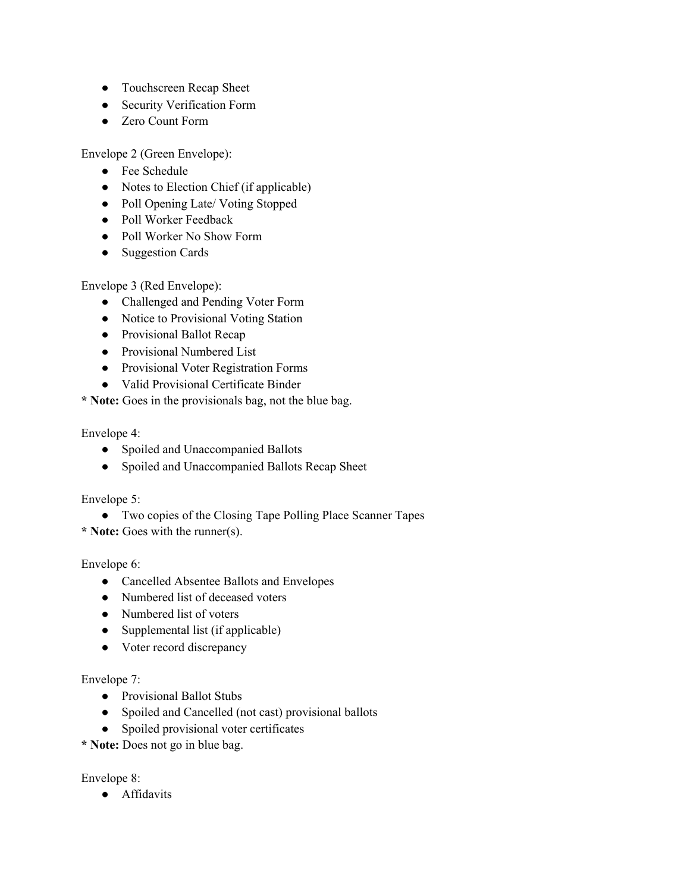- Touchscreen Recap Sheet
- Security Verification Form
- **Zero Count Form**

Envelope 2 (Green Envelope):

- Fee Schedule
- Notes to Election Chief (if applicable)
- Poll Opening Late/ Voting Stopped
- Poll Worker Feedback
- Poll Worker No Show Form
- Suggestion Cards

Envelope 3 (Red Envelope):

- Challenged and Pending Voter Form
- Notice to Provisional Voting Station
- Provisional Ballot Recap
- Provisional Numbered List
- Provisional Voter Registration Forms
- Valid Provisional Certificate Binder

**\* Note:** Goes in the provisionals bag, not the blue bag.

Envelope 4:

- Spoiled and Unaccompanied Ballots
- Spoiled and Unaccompanied Ballots Recap Sheet

Envelope 5:

● Two copies of the Closing Tape Polling Place Scanner Tapes

**\* Note:** Goes with the runner(s).

Envelope 6:

- Cancelled Absentee Ballots and Envelopes
- Numbered list of deceased voters
- Numbered list of voters
- Supplemental list (if applicable)
- Voter record discrepancy

### Envelope 7:

- Provisional Ballot Stubs
- Spoiled and Cancelled (not cast) provisional ballots
- Spoiled provisional voter certificates

**\* Note:** Does not go in blue bag.

Envelope 8:

● Affidavits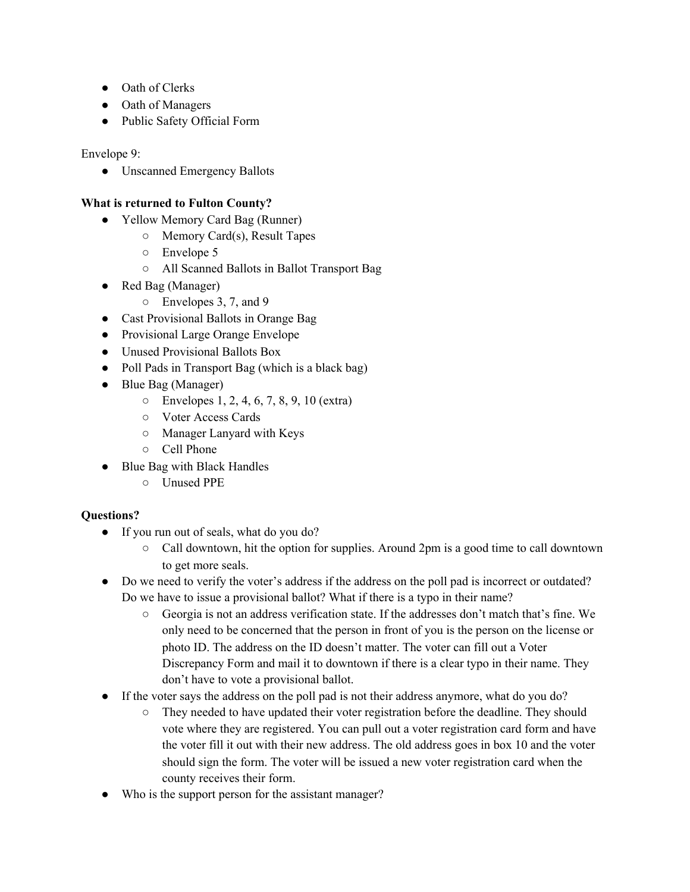- Oath of Clerks
- Oath of Managers
- Public Safety Official Form

Envelope 9:

● Unscanned Emergency Ballots

### **What is returned to Fulton County?**

- Yellow Memory Card Bag (Runner)
	- Memory Card(s), Result Tapes
	- Envelope 5
	- All Scanned Ballots in Ballot Transport Bag
- Red Bag (Manager)
	- Envelopes 3, 7, and 9
- Cast Provisional Ballots in Orange Bag
- Provisional Large Orange Envelope
- Unused Provisional Ballots Box
- Poll Pads in Transport Bag (which is a black bag)
- Blue Bag (Manager)
	- Envelopes 1, 2, 4, 6, 7, 8, 9, 10 (extra)
	- Voter Access Cards
	- Manager Lanyard with Keys
	- Cell Phone
- Blue Bag with Black Handles
	- Unused PPE

### **Questions?**

- If you run out of seals, what do you do?
	- Call downtown, hit the option for supplies. Around 2pm is a good time to call downtown to get more seals.
- Do we need to verify the voter's address if the address on the poll pad is incorrect or outdated? Do we have to issue a provisional ballot? What if there is a typo in their name?
	- Georgia is not an address verification state. If the addresses don't match that's fine. We only need to be concerned that the person in front of you is the person on the license or photo ID. The address on the ID doesn't matter. The voter can fill out a Voter Discrepancy Form and mail it to downtown if there is a clear typo in their name. They don't have to vote a provisional ballot.
- If the voter says the address on the poll pad is not their address anymore, what do you do?
	- They needed to have updated their voter registration before the deadline. They should vote where they are registered. You can pull out a voter registration card form and have the voter fill it out with their new address. The old address goes in box 10 and the voter should sign the form. The voter will be issued a new voter registration card when the county receives their form.
- Who is the support person for the assistant manager?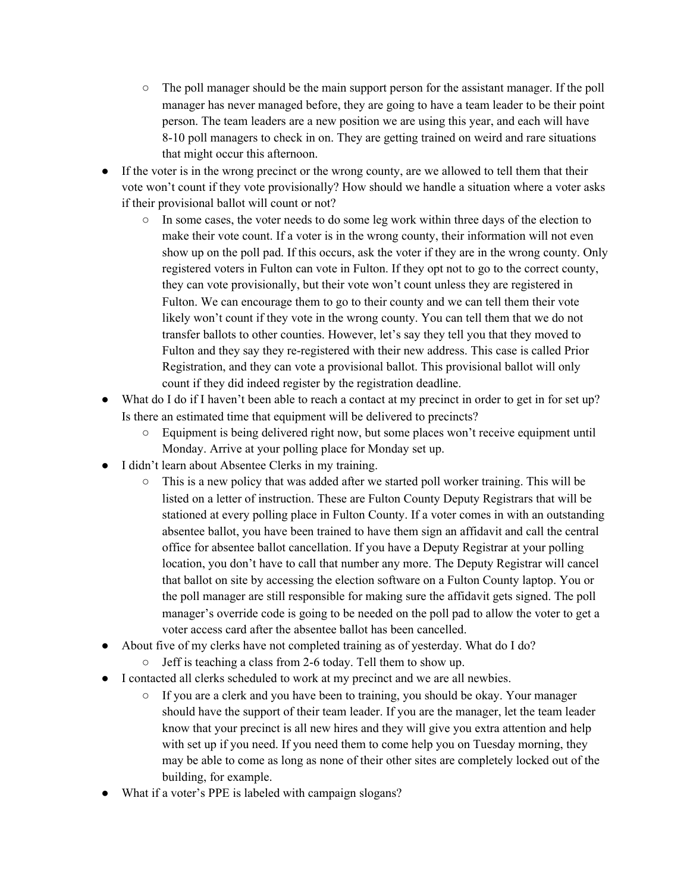- The poll manager should be the main support person for the assistant manager. If the poll manager has never managed before, they are going to have a team leader to be their point person. The team leaders are a new position we are using this year, and each will have 8-10 poll managers to check in on. They are getting trained on weird and rare situations that might occur this afternoon.
- If the voter is in the wrong precinct or the wrong county, are we allowed to tell them that their vote won't count if they vote provisionally? How should we handle a situation where a voter asks if their provisional ballot will count or not?
	- $\circ$  In some cases, the voter needs to do some leg work within three days of the election to make their vote count. If a voter is in the wrong county, their information will not even show up on the poll pad. If this occurs, ask the voter if they are in the wrong county. Only registered voters in Fulton can vote in Fulton. If they opt not to go to the correct county, they can vote provisionally, but their vote won't count unless they are registered in Fulton. We can encourage them to go to their county and we can tell them their vote likely won't count if they vote in the wrong county. You can tell them that we do not transfer ballots to other counties. However, let's say they tell you that they moved to Fulton and they say they re-registered with their new address. This case is called Prior Registration, and they can vote a provisional ballot. This provisional ballot will only count if they did indeed register by the registration deadline.
- What do I do if I haven't been able to reach a contact at my precinct in order to get in for set up? Is there an estimated time that equipment will be delivered to precincts?
	- Equipment is being delivered right now, but some places won't receive equipment until Monday. Arrive at your polling place for Monday set up.
- I didn't learn about Absentee Clerks in my training.
	- This is a new policy that was added after we started poll worker training. This will be listed on a letter of instruction. These are Fulton County Deputy Registrars that will be stationed at every polling place in Fulton County. If a voter comes in with an outstanding absentee ballot, you have been trained to have them sign an affidavit and call the central office for absentee ballot cancellation. If you have a Deputy Registrar at your polling location, you don't have to call that number any more. The Deputy Registrar will cancel that ballot on site by accessing the election software on a Fulton County laptop. You or the poll manager are still responsible for making sure the affidavit gets signed. The poll manager's override code is going to be needed on the poll pad to allow the voter to get a voter access card after the absentee ballot has been cancelled.
- About five of my clerks have not completed training as of yesterday. What do I do?
	- Jeff is teaching a class from 2-6 today. Tell them to show up.
- I contacted all clerks scheduled to work at my precinct and we are all newbies.
	- If you are a clerk and you have been to training, you should be okay. Your manager should have the support of their team leader. If you are the manager, let the team leader know that your precinct is all new hires and they will give you extra attention and help with set up if you need. If you need them to come help you on Tuesday morning, they may be able to come as long as none of their other sites are completely locked out of the building, for example.
- What if a voter's PPE is labeled with campaign slogans?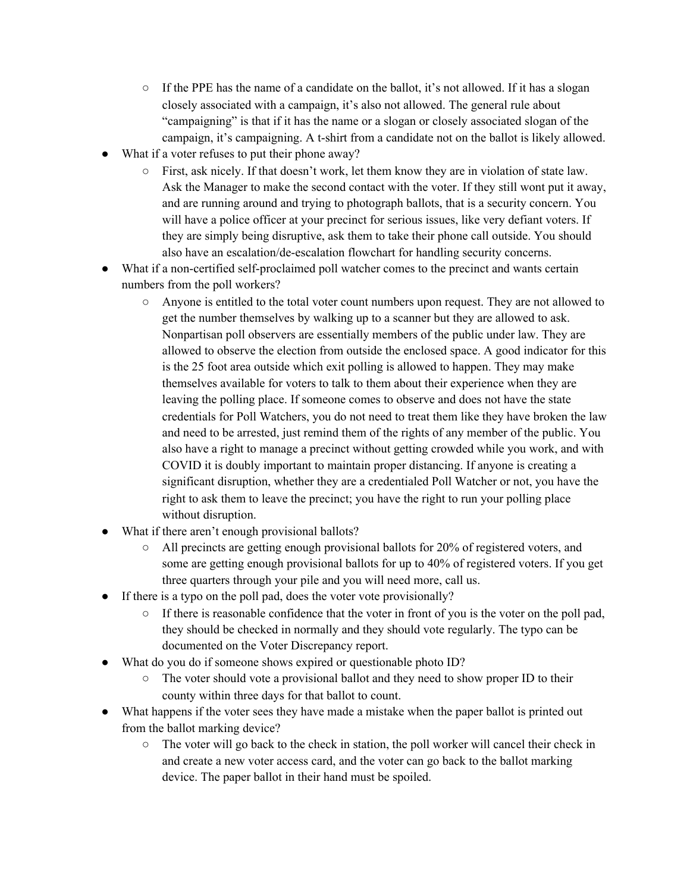- $\circ$  If the PPE has the name of a candidate on the ballot, it's not allowed. If it has a slogan closely associated with a campaign, it's also not allowed. The general rule about "campaigning" is that if it has the name or a slogan or closely associated slogan of the campaign, it's campaigning. A t-shirt from a candidate not on the ballot is likely allowed.
- What if a voter refuses to put their phone away?
	- First, ask nicely. If that doesn't work, let them know they are in violation of state law. Ask the Manager to make the second contact with the voter. If they still wont put it away, and are running around and trying to photograph ballots, that is a security concern. You will have a police officer at your precinct for serious issues, like very defiant voters. If they are simply being disruptive, ask them to take their phone call outside. You should also have an escalation/de-escalation flowchart for handling security concerns.
- What if a non-certified self-proclaimed poll watcher comes to the precinct and wants certain numbers from the poll workers?
	- Anyone is entitled to the total voter count numbers upon request. They are not allowed to get the number themselves by walking up to a scanner but they are allowed to ask. Nonpartisan poll observers are essentially members of the public under law. They are allowed to observe the election from outside the enclosed space. A good indicator for this is the 25 foot area outside which exit polling is allowed to happen. They may make themselves available for voters to talk to them about their experience when they are leaving the polling place. If someone comes to observe and does not have the state credentials for Poll Watchers, you do not need to treat them like they have broken the law and need to be arrested, just remind them of the rights of any member of the public. You also have a right to manage a precinct without getting crowded while you work, and with COVID it is doubly important to maintain proper distancing. If anyone is creating a significant disruption, whether they are a credentialed Poll Watcher or not, you have the right to ask them to leave the precinct; you have the right to run your polling place without disruption.
- What if there aren't enough provisional ballots?
	- $\circ$  All precincts are getting enough provisional ballots for 20% of registered voters, and some are getting enough provisional ballots for up to 40% of registered voters. If you get three quarters through your pile and you will need more, call us.
- If there is a typo on the poll pad, does the voter vote provisionally?
	- $\circ$  If there is reasonable confidence that the voter in front of you is the voter on the poll pad, they should be checked in normally and they should vote regularly. The typo can be documented on the Voter Discrepancy report.
- What do you do if someone shows expired or questionable photo ID?
	- $\circ$  The voter should vote a provisional ballot and they need to show proper ID to their county within three days for that ballot to count.
- What happens if the voter sees they have made a mistake when the paper ballot is printed out from the ballot marking device?
	- $\circ$  The voter will go back to the check in station, the poll worker will cancel their check in and create a new voter access card, and the voter can go back to the ballot marking device. The paper ballot in their hand must be spoiled.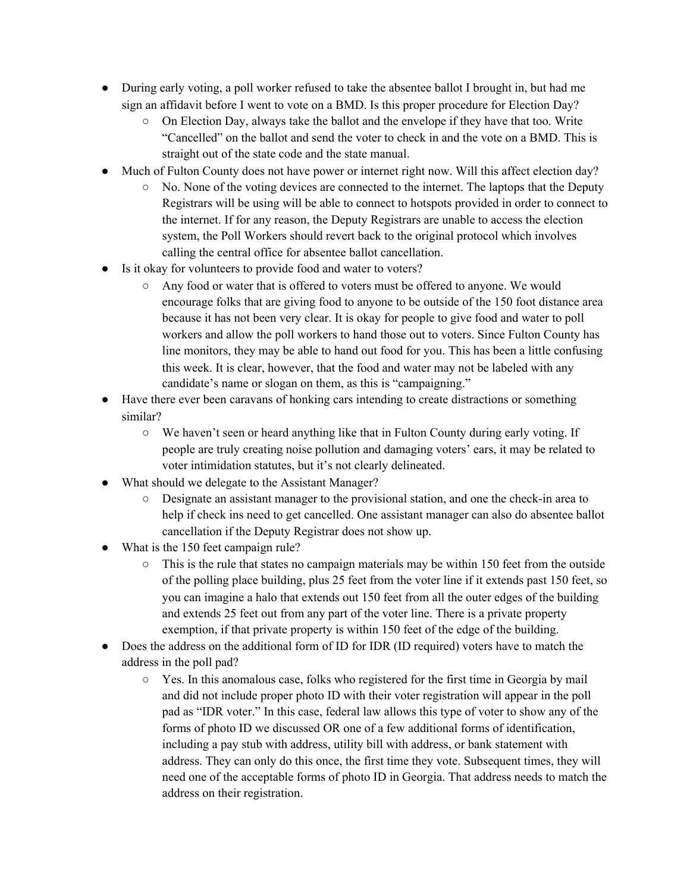- During early voting, a poll worker refused to take the absentee ballot I brought in, but had me sign an affidavit before I went to vote on a BMD. Is this proper procedure for Election Day?
	- $\circ$  On Election Day, always take the ballot and the envelope if they have that too. Write "Cancelled" on the ballot and send the voter to check in and the vote on a BMD. This is straight out of the state code and the state manual.
- Much of Fulton County does not have power or internet right now. Will this affect election day?
	- No. None of the voting devices are connected to the internet. The laptops that the Deputy Registrars will be using will be able to connect to hotspots provided in order to connect to the internet. If for any reason, the Deputy Registrars are unable to access the election system, the Poll Workers should revert back to the original protocol which involves calling the central office for absentee ballot cancellation.
- Is it okay for volunteers to provide food and water to voters?
	- Any food or water that is offered to voters must be offered to anyone. We would encourage folks that are giving food to anyone to be outside of the 150 foot distance area because it has not been very clear. It is okay for people to give food and water to poll workers and allow the poll workers to hand those out to voters. Since Fulton County has line monitors, they may be able to hand out food for you. This has been a little confusing this week. It is clear, however, that the food and water may not be labeled with any candidate's name or slogan on them, as this is "campaigning."
- Have there ever been caravans of honking cars intending to create distractions or something similar?
	- We haven't seen or heard anything like that in Fulton County during early voting. If people are truly creating noise pollution and damaging voters' ears, it may be related to voter intimidation statutes, but it's not clearly delineated.
- What should we delegate to the Assistant Manager?
	- Designate an assistant manager to the provisional station, and one the check-in area to help if check ins need to get cancelled. One assistant manager can also do absentee ballot cancellation if the Deputy Registrar does not show up.
- What is the 150 feet campaign rule?
	- This is the rule that states no campaign materials may be within 150 feet from the outside of the polling place building, plus 25 feet from the voter line if it extends past 150 feet, so you can imagine a halo that extends out 150 feet from all the outer edges of the building and extends 25 feet out from any part of the voter line. There is a private property exemption, if that private property is within 150 feet of the edge of the building.
- Does the address on the additional form of ID for IDR (ID required) voters have to match the address in the poll pad?
	- Yes. In this anomalous case, folks who registered for the first time in Georgia by mail and did not include proper photo ID with their voter registration will appear in the poll pad as "IDR voter." In this case, federal law allows this type of voter to show any of the forms of photo ID we discussed OR one of a few additional forms of identification, including a pay stub with address, utility bill with address, or bank statement with address. They can only do this once, the first time they vote. Subsequent times, they will need one of the acceptable forms of photo ID in Georgia. That address needs to match the address on their registration.